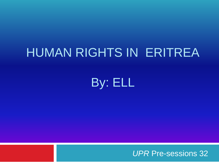#### HUMAN RIGHTS IN ERITREA

By: ELL

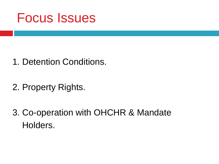

- 1. Detention Conditions.
- 2. Property Rights.
- 3. Co-operation with OHCHR & Mandate Holders.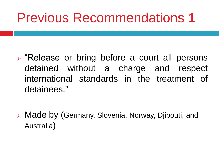## Previous Recommendations 1

- ➢ "Release or bring before a court all persons detained without a charge and respect international standards in the treatment of detainees."
- ➢ Made by (Germany, Slovenia, Norway, Djibouti, and Australia)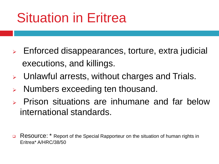# Situation in Eritrea

- ➢ Enforced disappearances, torture, extra judicial executions, and killings.
- ➢ Unlawful arrests, without charges and Trials.
- Numbers exceeding ten thousand.
- ➢ Prison situations are inhumane and far below international standards.
- Resource: \* Report of the Special Rapporteur on the situation of human rights in Eritrea\* A/HRC/38/50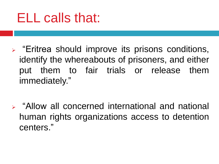### ELL calls that:

- ➢ "Eritrea should improve its prisons conditions, identify the whereabouts of prisoners, and either put them to fair trials or release them immediately."
- ➢ "Allow all concerned international and national human rights organizations access to detention centers."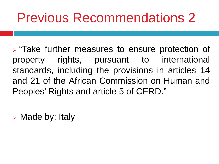## Previous Recommendations 2

➢ "Take further measures to ensure protection of property rights, pursuant to international standards, including the provisions in articles 14 and 21 of the African Commission on Human and Peoples' Rights and article 5 of CERD."

➢ Made by: Italy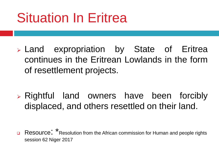# Situation In Eritrea

- ➢ Land expropriation by State of Eritrea continues in the Eritrean Lowlands in the form of resettlement projects.
- ➢ Rightful land owners have been forcibly displaced, and others resettled on their land.

❑ Resource: \*Resolution from the African commission for Human and people rights session 62 Niger 2017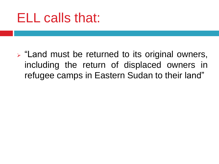#### ELL calls that:

➢ "Land must be returned to its original owners, including the return of displaced owners in refugee camps in Eastern Sudan to their land"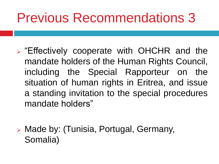## Previous Recommendations 3

- ➢ "Effectively cooperate with OHCHR and the mandate holders of the Human Rights Council, including the Special Rapporteur on the situation of human rights in Eritrea, and issue a standing invitation to the special procedures mandate holders"
- ➢ Made by: (Tunisia, Portugal, Germany, Somalia)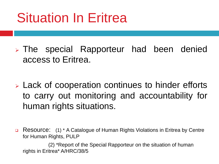# Situation In Eritrea

- ➢ The special Rapporteur had been denied access to Eritrea.
- ➢ Lack of cooperation continues to hinder efforts to carry out monitoring and accountability for human rights situations.
- ❑ Resource: (1) \* A Catalogue of Human Rights Violations in Eritrea by Centre for Human Rights, PULP

(2) \*Report of the Special Rapporteur on the situation of human rights in Eritrea\* A/HRC/38/5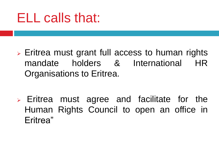### ELL calls that:

- ➢ Eritrea must grant full access to human rights mandate holders & International HR Organisations to Eritrea.
- ➢ Eritrea must agree and facilitate for the Human Rights Council to open an office in Eritrea"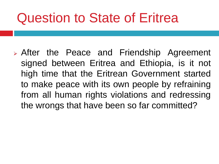## Question to State of Eritrea

➢ After the Peace and Friendship Agreement signed between Eritrea and Ethiopia, is it not high time that the Eritrean Government started to make peace with its own people by refraining from all human rights violations and redressing the wrongs that have been so far committed?